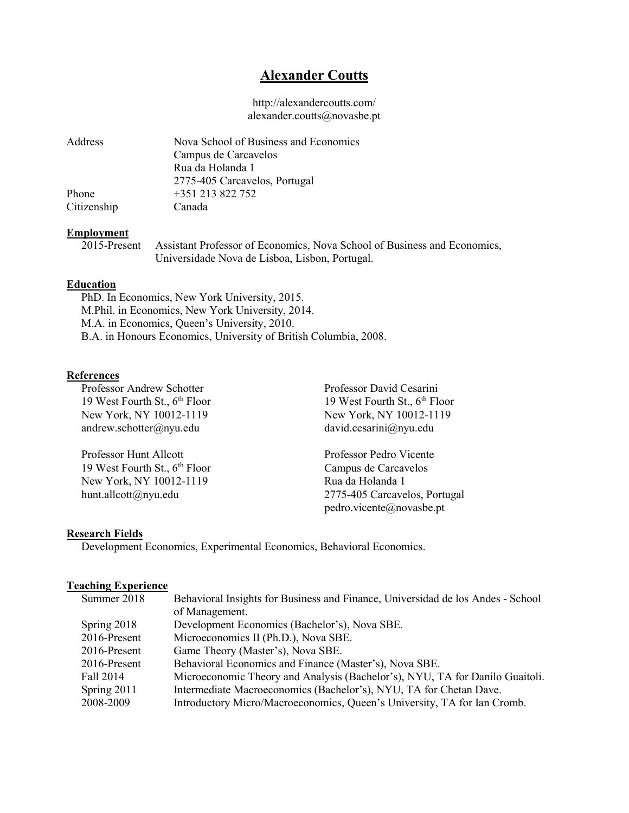# Alexander Coutts

### http://alexandercoutts.com/ alexander.coutts@novasbe.pt

| <b>Address</b> | Nova School of Business and Economics |
|----------------|---------------------------------------|
|                | Campus de Carcavelos                  |
|                | Rua da Holanda 1                      |
|                | 2775-405 Carcavelos, Portugal         |
| Phone          | +351 213 822 752                      |
| Citizenship    | Canada                                |

#### Employment

 2015-Present Assistant Professor of Economics, Nova School of Business and Economics, Universidade Nova de Lisboa, Lisbon, Portugal.

### Education

PhD. In Economics, New York University, 2015. M.Phil. in Economics, New York University, 2014. M.A. in Economics, Queen's University, 2010. B.A. in Honours Economics, University of British Columbia, 2008.

### References

19 West Fourth St.,  $6<sup>th</sup>$  Floor New York, NY 10012-1119 New York, NY 10012-1119 andrew.schotter@nyu.edu david.cesarini@nyu.edu

 Professor Hunt Allcott Professor Pedro Vicente 19 West Fourth St., 6<sup>th</sup> Floor Campus de Carcavelos New York, NY 10012-1119 Rua da Holanda 1

Professor Andrew Schotter Professor David Cesarini<br>
19 West Fourth St., 6<sup>th</sup> Floor 19 West Fourth St., 6<sup>th</sup> Floor

hunt.allcott@nyu.edu 2775-405 Carcavelos, Portugal pedro.vicente@novasbe.pt

#### Research Fields

Development Economics, Experimental Economics, Behavioral Economics.

#### Teaching Experience

| Summer 2018  | Behavioral Insights for Business and Finance, Universidad de los Andes - School |
|--------------|---------------------------------------------------------------------------------|
|              | of Management.                                                                  |
| Spring 2018  | Development Economics (Bachelor's), Nova SBE.                                   |
| 2016-Present | Microeconomics II (Ph.D.), Nova SBE.                                            |
| 2016-Present | Game Theory (Master's), Nova SBE.                                               |
| 2016-Present | Behavioral Economics and Finance (Master's), Nova SBE.                          |
| Fall 2014    | Microeconomic Theory and Analysis (Bachelor's), NYU, TA for Danilo Guaitoli.    |
| Spring 2011  | Intermediate Macroeconomics (Bachelor's), NYU, TA for Chetan Dave.              |
| 2008-2009    | Introductory Micro/Macroeconomics, Queen's University, TA for Ian Cromb.        |
|              |                                                                                 |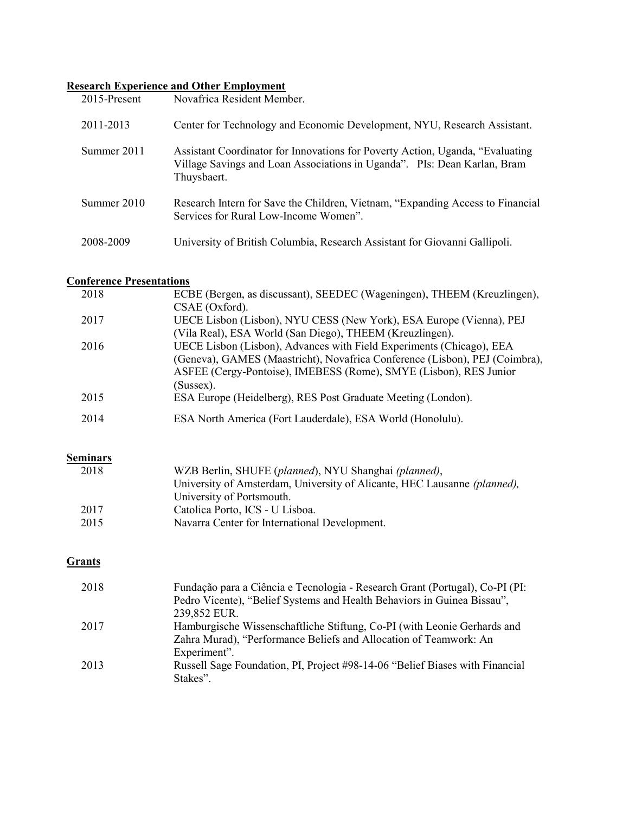## Research Experience and Other Employment

| $2015$ -Present | Novafrica Resident Member.                                                                                                                                                |
|-----------------|---------------------------------------------------------------------------------------------------------------------------------------------------------------------------|
| 2011-2013       | Center for Technology and Economic Development, NYU, Research Assistant.                                                                                                  |
| Summer 2011     | Assistant Coordinator for Innovations for Poverty Action, Uganda, "Evaluating"<br>Village Savings and Loan Associations in Uganda". PIs: Dean Karlan, Bram<br>Thuysbaert. |
| Summer 2010     | Research Intern for Save the Children, Vietnam, "Expanding Access to Financial<br>Services for Rural Low-Income Women".                                                   |
| 2008-2009       | University of British Columbia, Research Assistant for Giovanni Gallipoli.                                                                                                |

## Conference Presentations

| 2018 | ECBE (Bergen, as discussant), SEEDEC (Wageningen), THEEM (Kreuzlingen),     |
|------|-----------------------------------------------------------------------------|
|      | $CSAE$ (Oxford).                                                            |
| 2017 | UECE Lisbon (Lisbon), NYU CESS (New York), ESA Europe (Vienna), PEJ         |
|      | (Vila Real), ESA World (San Diego), THEEM (Kreuzlingen).                    |
| 2016 | UECE Lisbon (Lisbon), Advances with Field Experiments (Chicago), EEA        |
|      | (Geneva), GAMES (Maastricht), Novafrica Conference (Lisbon), PEJ (Coimbra), |
|      | ASFEE (Cergy-Pontoise), IMEBESS (Rome), SMYE (Lisbon), RES Junior           |
|      | (Sussex).                                                                   |
| 2015 | ESA Europe (Heidelberg), RES Post Graduate Meeting (London).                |
| 2014 | ESA North America (Fort Lauderdale), ESA World (Honolulu).                  |
|      |                                                                             |

**Seminars** 

| 2018 | WZB Berlin, SHUFE (planned), NYU Shanghai (planned),                     |
|------|--------------------------------------------------------------------------|
|      | University of Amsterdam, University of Alicante, HEC Lausanne (planned), |
|      | University of Portsmouth.                                                |
| 2017 | Catolica Porto, ICS - U Lisboa.                                          |
| 2015 | Navarra Center for International Development.                            |
|      |                                                                          |

## **Grants**

| 2018 | Fundação para a Ciência e Tecnologia - Research Grant (Portugal), Co-PI (PI: |
|------|------------------------------------------------------------------------------|
|      | Pedro Vicente), "Belief Systems and Health Behaviors in Guinea Bissau",      |
|      | 239,852 EUR.                                                                 |
| 2017 | Hamburgische Wissenschaftliche Stiftung, Co-PI (with Leonie Gerhards and     |
|      | Zahra Murad), "Performance Beliefs and Allocation of Teamwork: An            |
|      | Experiment".                                                                 |
| 2013 | Russell Sage Foundation, PI, Project #98-14-06 "Belief Biases with Financial |
|      | Stakes".                                                                     |